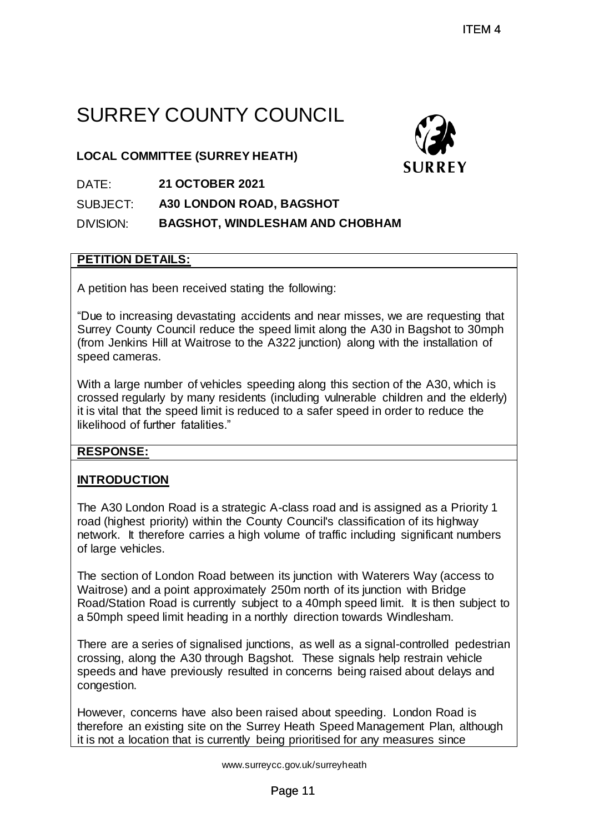# SURREY COUNTY COUNCIL

**LOCAL COMMITTEE (SURREY HEATH)**



SUBJECT: **A30 LONDON ROAD, BAGSHOT**

DIVISION: **BAGSHOT, WINDLESHAM AND CHOBHAM**

#### **PETITION DETAILS:**

A petition has been received stating the following:

"Due to increasing devastating accidents and near misses, we are requesting that Surrey County Council reduce the speed limit along the A30 in Bagshot to 30mph (from Jenkins Hill at Waitrose to the A322 junction) along with the installation of speed cameras.

With a large number of vehicles speeding along this section of the A30, which is crossed regularly by many residents (including vulnerable children and the elderly) it is vital that the speed limit is reduced to a safer speed in order to reduce the likelihood of further fatalities."

#### **RESPONSE:**

#### **INTRODUCTION**

The A30 London Road is a strategic A-class road and is assigned as a Priority 1 road (highest priority) within the County Council's classification of its highway network. It therefore carries a high volume of traffic including significant numbers of large vehicles.

The section of London Road between its junction with Waterers Way (access to Waitrose) and a point approximately 250m north of its junction with Bridge Road/Station Road is currently subject to a 40mph speed limit. It is then subject to a 50mph speed limit heading in a northly direction towards Windlesham.

There are a series of signalised junctions, as well as a signal-controlled pedestrian crossing, along the A30 through Bagshot. These signals help restrain vehicle speeds and have previously resulted in concerns being raised about delays and congestion. TTEM 4<br>
PUNCIL<br>
ATH)<br>
SURREY<br>
P. BAGSHOT<br>
SHAM AND CHOBHAM<br>
THE SHAM AND CHOBHAM<br>
THE SHAM AND CHOBHAM<br>
THE SHAM AND CHOBHAM<br>
THE SHAM AND CHOBHAM<br>
THE SHAM AND CHOBHAM<br>
FOR SHAM BOT SHAM AND AND BAGS TO SUPPOSE THE SHAM O

However, concerns have also been raised about speeding. London Road is therefore an existing site on the Surrey Heath Speed Management Plan, although it is not a location that is currently being prioritised for any measures since

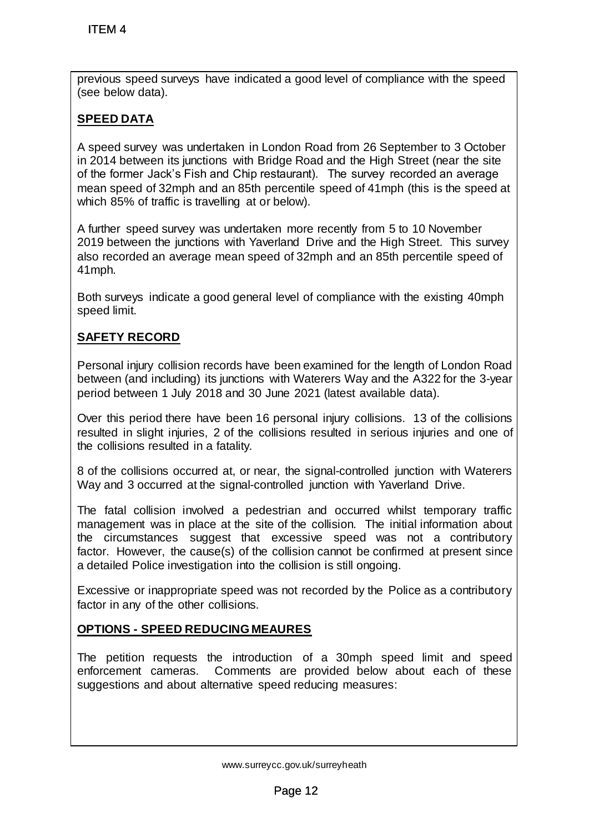previous speed surveys have indicated a good level of compliance with the speed (see below data).

## **SPEED DATA**

A speed survey was undertaken in London Road from 26 September to 3 October in 2014 between its junctions with Bridge Road and the High Street (near the site of the former Jack's Fish and Chip restaurant). The survey recorded an average mean speed of 32mph and an 85th percentile speed of 41mph (this is the speed at which 85% of traffic is travelling at or below). ITEM 4<br>evious speed surveys have indicated a good<br>evious speed surveys have indicated a good<br>evielbew data).<br>The shave in the strain in London Roman and the former Jack's Fish and Chip restaurant).<br>the former Jack's Fish a

A further speed survey was undertaken more recently from 5 to 10 November 2019 between the junctions with Yaverland Drive and the High Street. This survey also recorded an average mean speed of 32mph and an 85th percentile speed of 41mph.

Both surveys indicate a good general level of compliance with the existing 40mph speed limit.

## **SAFETY RECORD**

Personal injury collision records have been examined for the length of London Road between (and including) its junctions with Waterers Way and the A322 for the 3-year period between 1 July 2018 and 30 June 2021 (latest available data).

Over this period there have been 16 personal injury collisions. 13 of the collisions resulted in slight injuries, 2 of the collisions resulted in serious injuries and one of the collisions resulted in a fatality.

8 of the collisions occurred at, or near, the signal-controlled junction with Waterers Way and 3 occurred at the signal-controlled junction with Yaverland Drive.

The fatal collision involved a pedestrian and occurred whilst temporary traffic management was in place at the site of the collision. The initial information about the circumstances suggest that excessive speed was not a contributory factor. However, the cause(s) of the collision cannot be confirmed at present since a detailed Police investigation into the collision is still ongoing.

Excessive or inappropriate speed was not recorded by the Police as a contributory factor in any of the other collisions.

## **OPTIONS - SPEED REDUCING MEAURES**

The petition requests the introduction of a 30mph speed limit and speed enforcement cameras. Comments are provided below about each of these suggestions and about alternative speed reducing measures:

www.surreycc.gov.uk/surreyheath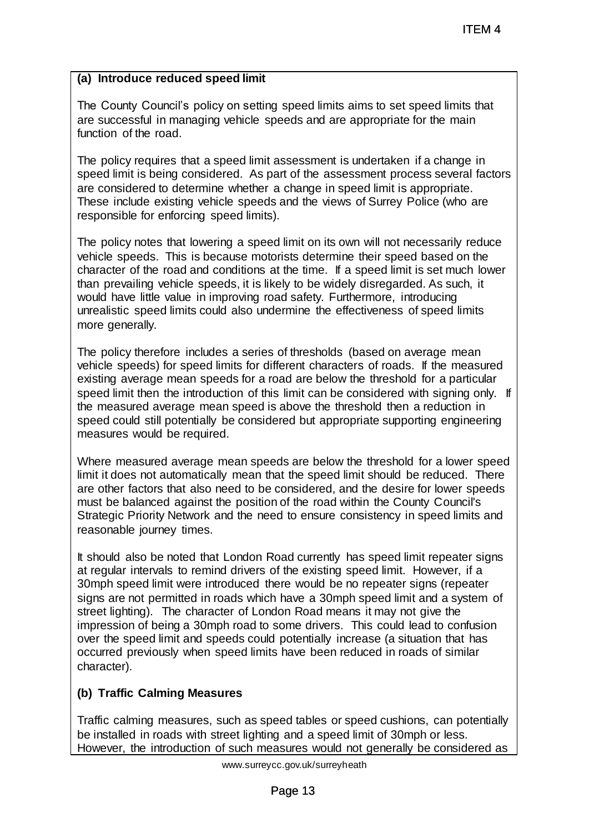#### **(a) Introduce reduced speed limit**

The County Council's policy on setting speed limits aims to set speed limits that are successful in managing vehicle speeds and are appropriate for the main function of the road.

The policy requires that a speed limit assessment is undertaken if a change in speed limit is being considered. As part of the assessment process several factors are considered to determine whether a change in speed limit is appropriate. These include existing vehicle speeds and the views of Surrey Police (who are responsible for enforcing speed limits).

The policy notes that lowering a speed limit on its own will not necessarily reduce vehicle speeds. This is because motorists determine their speed based on the character of the road and conditions at the time. If a speed limit is set much lower than prevailing vehicle speeds, it is likely to be widely disregarded. As such, it would have little value in improving road safety. Furthermore, introducing unrealistic speed limits could also undermine the effectiveness of speed limits more generally.

The policy therefore includes a series of thresholds (based on average mean vehicle speeds) for speed limits for different characters of roads. If the measured existing average mean speeds for a road are below the threshold for a particular speed limit then the introduction of this limit can be considered with signing only. If the measured average mean speed is above the threshold then a reduction in speed could still potentially be considered but appropriate supporting engineering measures would be required.

Where measured average mean speeds are below the threshold for a lower speed limit it does not automatically mean that the speed limit should be reduced. There are other factors that also need to be considered, and the desire for lower speeds must be balanced against the position of the road within the County Council's Strategic Priority Network and the need to ensure consistency in speed limits and reasonable journey times.

It should also be noted that London Road currently has speed limit repeater signs at regular intervals to remind drivers of the existing speed limit. However, if a 30mph speed limit were introduced there would be no repeater signs (repeater signs are not permitted in roads which have a 30mph speed limit and a system of street lighting). The character of London Road means it may not give the impression of being a 30mph road to some drivers. This could lead to confusion over the speed limit and speeds could potentially increase (a situation that has occurred previously when speed limits have been reduced in roads of similar character). ITEM 4<br>g speed limits aims to set speed limits that<br>peeds and are appropriate for the main<br>assessment is undertaken if a change in<br>a change in speed limit is appropriate.<br>a change in speed limit is appropriate.<br>a change in

#### **(b) Traffic Calming Measures**

Traffic calming measures, such as speed tables or speed cushions, can potentially be installed in roads with street lighting and a speed limit of 30mph or less. However, the introduction of such measures would not generally be considered as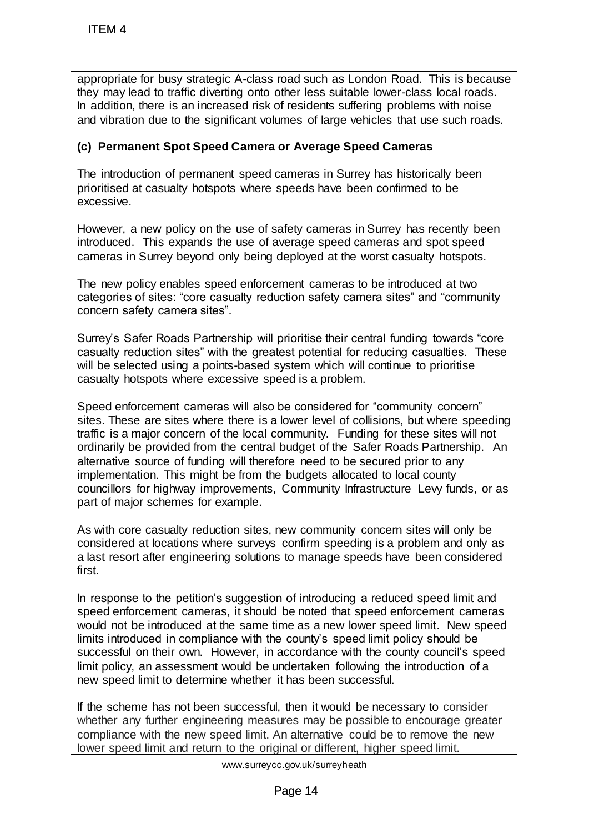appropriate for busy strategic A-class road such as London Road. This is because they may lead to traffic diverting onto other less suitable lower-class local roads. In addition, there is an increased risk of residents suffering problems with noise and vibration due to the significant volumes of large vehicles that use such roads.

### **(c) Permanent Spot Speed Camera or Average Speed Cameras**

The introduction of permanent speed cameras in Surrey has historically been prioritised at casualty hotspots where speeds have been confirmed to be excessive.

However, a new policy on the use of safety cameras in Surrey has recently been introduced. This expands the use of average speed cameras and spot speed cameras in Surrey beyond only being deployed at the worst casualty hotspots.

The new policy enables speed enforcement cameras to be introduced at two categories of sites: "core casualty reduction safety camera sites" and "community concern safety camera sites".

Surrey's Safer Roads Partnership will prioritise their central funding towards "core casualty reduction sites" with the greatest potential for reducing casualties. These will be selected using a points-based system which will continue to prioritise casualty hotspots where excessive speed is a problem.

Speed enforcement cameras will also be considered for "community concern" sites. These are sites where there is a lower level of collisions, but where speeding traffic is a major concern of the local community. Funding for these sites will not ordinarily be provided from the central budget of the Safer Roads Partnership. An alternative source of funding will therefore need to be secured prior to any implementation. This might be from the budgets allocated to local county councillors for highway improvements, Community Infrastructure Levy funds, or as part of major schemes for example. ITEM 4<br>propriate for busy strategic A-class road supportate for busy strategic A-class road subsy may lead to traffic diverting onto other lest addition, there is an increased risk of resided vibration due to the significa

As with core casualty reduction sites, new community concern sites will only be considered at locations where surveys confirm speeding is a problem and only as a last resort after engineering solutions to manage speeds have been considered first.

In response to the petition's suggestion of introducing a reduced speed limit and speed enforcement cameras, it should be noted that speed enforcement cameras would not be introduced at the same time as a new lower speed limit. New speed limits introduced in compliance with the county's speed limit policy should be successful on their own. However, in accordance with the county council's speed limit policy, an assessment would be undertaken following the introduction of a new speed limit to determine whether it has been successful.

If the scheme has not been successful, then it would be necessary to consider whether any further engineering measures may be possible to encourage greater compliance with the new speed limit. An alternative could be to remove the new lower speed limit and return to the original or different, higher speed limit.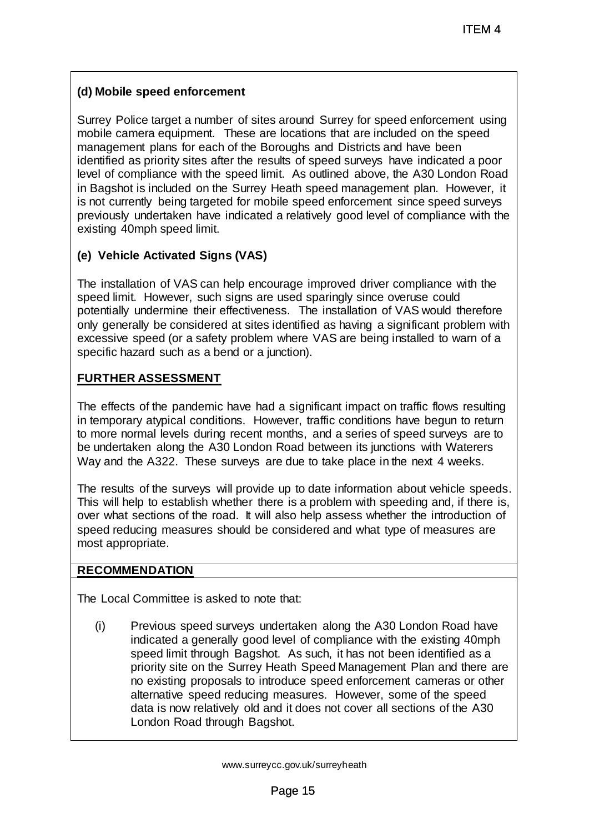#### **(d) Mobile speed enforcement**

Surrey Police target a number of sites around Surrey for speed enforcement using mobile camera equipment. These are locations that are included on the speed management plans for each of the Boroughs and Districts and have been identified as priority sites after the results of speed surveys have indicated a poor level of compliance with the speed limit. As outlined above, the A30 London Road in Bagshot is included on the Surrey Heath speed management plan. However, it is not currently being targeted for mobile speed enforcement since speed surveys previously undertaken have indicated a relatively good level of compliance with the existing 40mph speed limit. ITEM 4<br>a socured Surey for speed enforcement usin<br>e locations that are included on the speed<br>oroughs and Districts and have been<br>list. As outlined above, the A30 London Roa<br>hit. As outlined above, the A30 London Roa<br>bite s

#### **(e) Vehicle Activated Signs (VAS)**

The installation of VAS can help encourage improved driver compliance with the speed limit. However, such signs are used sparingly since overuse could potentially undermine their effectiveness. The installation of VAS would therefore only generally be considered at sites identified as having a significant problem with excessive speed (or a safety problem where VAS are being installed to warn of a specific hazard such as a bend or a junction).

#### **FURTHER ASSESSMENT**

The effects of the pandemic have had a significant impact on traffic flows resulting in temporary atypical conditions. However, traffic conditions have begun to return to more normal levels during recent months, and a series of speed surveys are to be undertaken along the A30 London Road between its junctions with Waterers Way and the A322. These surveys are due to take place in the next 4 weeks.

The results of the surveys will provide up to date information about vehicle speeds. This will help to establish whether there is a problem with speeding and, if there is, over what sections of the road. It will also help assess whether the introduction of speed reducing measures should be considered and what type of measures are most appropriate.

#### **RECOMMENDATION**

The Local Committee is asked to note that:

(i) Previous speed surveys undertaken along the A30 London Road have indicated a generally good level of compliance with the existing 40mph speed limit through Bagshot. As such, it has not been identified as a priority site on the Surrey Heath Speed Management Plan and there are no existing proposals to introduce speed enforcement cameras or other alternative speed reducing measures. However, some of the speed data is now relatively old and it does not cover all sections of the A30 London Road through Bagshot.